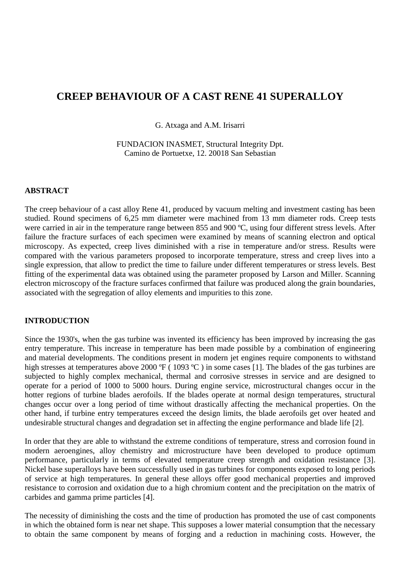# **CREEP BEHAVIOUR OF A CAST RENE 41 SUPERALLOY**

G. Atxaga and A.M. Irisarri

FUNDACION INASMET, Structural Integrity Dpt. Camino de Portuetxe, 12. 20018 San Sebastian

### **ABSTRACT**

The creep behaviour of a cast alloy Rene 41, produced by vacuum melting and investment casting has been studied. Round specimens of 6,25 mm diameter were machined from 13 mm diameter rods. Creep tests were carried in air in the temperature range between 855 and 900 °C, using four different stress levels. After failure the fracture surfaces of each specimen were examined by means of scanning electron and optical microscopy. As expected, creep lives diminished with a rise in temperature and/or stress. Results were compared with the various parameters proposed to incorporate temperature, stress and creep lives into a single expression, that allow to predict the time to failure under different temperatures or stress levels. Best fitting of the experimental data was obtained using the parameter proposed by Larson and Miller. Scanning electron microscopy of the fracture surfaces confirmed that failure was produced along the grain boundaries, associated with the segregation of alloy elements and impurities to this zone.

## **INTRODUCTION**

Since the 1930's, when the gas turbine was invented its efficiency has been improved by increasing the gas entry temperature. This increase in temperature has been made possible by a combination of engineering and material developments. The conditions present in modern jet engines require components to withstand high stresses at temperatures above 2000 °F (1093 °C) in some cases [1]. The blades of the gas turbines are subjected to highly complex mechanical, thermal and corrosive stresses in service and are designed to operate for a period of 1000 to 5000 hours. During engine service, microstructural changes occur in the hotter regions of turbine blades aerofoils. If the blades operate at normal design temperatures, structural changes occur over a long period of time without drastically affecting the mechanical properties. On the other hand, if turbine entry temperatures exceed the design limits, the blade aerofoils get over heated and undesirable structural changes and degradation set in affecting the engine performance and blade life [2].

In order that they are able to withstand the extreme conditions of temperature, stress and corrosion found in modern aeroengines, alloy chemistry and microstructure have been developed to produce optimum performance, particularly in terms of elevated temperature creep strength and oxidation resistance [3]. Nickel base superalloys have been successfully used in gas turbines for components exposed to long periods of service at high temperatures. In general these alloys offer good mechanical properties and improved resistance to corrosion and oxidation due to a high chromium content and the precipitation on the matrix of carbides and gamma prime particles [4].

The necessity of diminishing the costs and the time of production has promoted the use of cast components in which the obtained form is near net shape. This supposes a lower material consumption that the necessary to obtain the same component by means of forging and a reduction in machining costs. However, the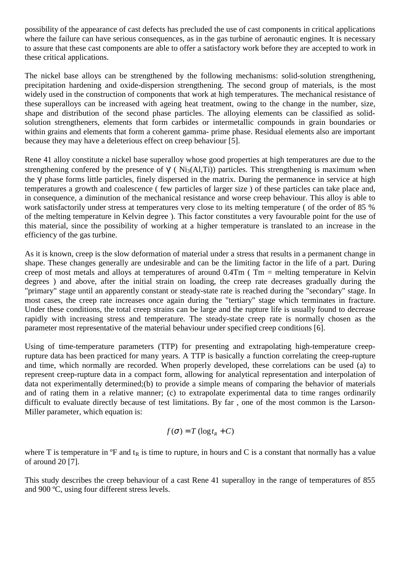possibility of the appearance of cast defects has precluded the use of cast components in critical applications where the failure can have serious consequences, as in the gas turbine of aeronautic engines. It is necessary to assure that these cast components are able to offer a satisfactory work before they are accepted to work in these critical applications.

The nickel base alloys can be strengthened by the following mechanisms: solid-solution strengthening, precipitation hardening and oxide-dispersion strengthening. The second group of materials, is the most widely used in the construction of components that work at high temperatures. The mechanical resistance of these superalloys can be increased with ageing heat treatment, owing to the change in the number, size, shape and distribution of the second phase particles. The alloying elements can be classified as solidsolution strengtheners, elements that form carbides or intermetallic compounds in grain boundaries or within grains and elements that form a coherent gamma- prime phase. Residual elements also are important because they may have a deleterious effect on creep behaviour [5].

Rene 41 alloy constitute a nickel base superalloy whose good properties at high temperatures are due to the strengthening confered by the presence of  $\gamma$  ( Ni<sub>3</sub>(Al,Ti)) particles. This strengthening is maximum when the γ' phase forms little particles, finely dispersed in the matrix. During the permanence in service at high temperatures a growth and coalescence ( few particles of larger size ) of these particles can take place and, in consequence, a diminution of the mechanical resistance and worse creep behaviour. This alloy is able to work satisfactorily under stress at temperatures very close to its melting temperature ( of the order of 85 % of the melting temperature in Kelvin degree ). This factor constitutes a very favourable point for the use of this material, since the possibility of working at a higher temperature is translated to an increase in the efficiency of the gas turbine.

As it is known, creep is the slow deformation of material under a stress that results in a permanent change in shape. These changes generally are undesirable and can be the limiting factor in the life of a part. During creep of most metals and alloys at temperatures of around 0.4Tm ( Tm = melting temperature in Kelvin degrees ) and above, after the initial strain on loading, the creep rate decreases gradually during the "primary" stage until an apparently constant or steady-state rate is reached during the "secondary" stage. In most cases, the creep rate increases once again during the "tertiary" stage which terminates in fracture. Under these conditions, the total creep strains can be large and the rupture life is usually found to decrease rapidly with increasing stress and temperature. The steady-state creep rate is normally chosen as the parameter most representative of the material behaviour under specified creep conditions [6].

Using of time-temperature parameters (TTP) for presenting and extrapolating high-temperature creeprupture data has been practiced for many years. A TTP is basically a function correlating the creep-rupture and time, which normally are recorded. When properly developed, these correlations can be used (a) to represent creep-rupture data in a compact form, allowing for analytical representation and interpolation of data not experimentally determined;(b) to provide a simple means of comparing the behavior of materials and of rating them in a relative manner; (c) to extrapolate experimental data to time ranges ordinarily difficult to evaluate directly because of test limitations. By far , one of the most common is the Larson-Miller parameter, which equation is:

$$
f(\sigma) = T (\log t_R + C)
$$

where T is temperature in  ${}^{\circ}$ F and t<sub>R</sub> is time to rupture, in hours and C is a constant that normally has a value of around 20 [7].

This study describes the creep behaviour of a cast Rene 41 superalloy in the range of temperatures of 855 and 900 ºC, using four different stress levels.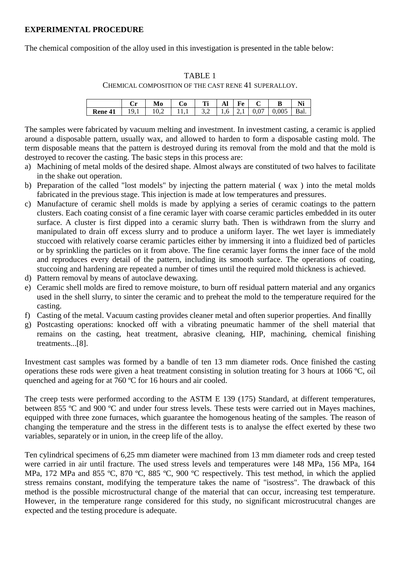# **EXPERIMENTAL PROCEDURE**

The chemical composition of the alloy used in this investigation is presented in the table below:

### TABLE 1

CHEMICAL COMPOSITION OF THE CAST RENE 41 SUPERALLOY.

|             |     | Mo    | 0.             | Ti                     | AI | k`e |      | В   |      |
|-------------|-----|-------|----------------|------------------------|----|-----|------|-----|------|
| <b>Kene</b> | ιų. | 10 2. | $\blacksquare$ | $1\,3.2\,1.6\,12.1\,1$ |    |     | 0.07 | 005 | Bal. |

The samples were fabricated by vacuum melting and investment. In investment casting, a ceramic is applied around a disposable pattern, usually wax, and allowed to harden to form a disposable casting mold. The term disposable means that the pattern is destroyed during its removal from the mold and that the mold is destroyed to recover the casting. The basic steps in this process are:

- a) Machining of metal molds of the desired shape. Almost always are constituted of two halves to facilitate in the shake out operation.
- b) Preparation of the called "lost models" by injecting the pattern material ( wax ) into the metal molds fabricated in the previous stage. This injection is made at low temperatures and pressures.
- c) Manufacture of ceramic shell molds is made by applying a series of ceramic coatings to the pattern clusters. Each coating consist of a fine ceramic layer with coarse ceramic particles embedded in its outer surface. A cluster is first dipped into a ceramic slurry bath. Then is withdrawn from the slurry and manipulated to drain off excess slurry and to produce a uniform layer. The wet layer is immediately stuccoed with relatively coarse ceramic particles either by immersing it into a fluidized bed of particles or by sprinkling the particles on it from above. The fine ceramic layer forms the inner face of the mold and reproduces every detail of the pattern, including its smooth surface. The operations of coating, stuccoing and hardening are repeated a number of times until the required mold thickness is achieved.
- d) Pattern removal by means of autoclave dewaxing.
- e) Ceramic shell molds are fired to remove moisture, to burn off residual pattern material and any organics used in the shell slurry, to sinter the ceramic and to preheat the mold to the temperature required for the casting.
- f) Casting of the metal. Vacuum casting provides cleaner metal and often superior properties. And finallly
- g) Postcasting operations: knocked off with a vibrating pneumatic hammer of the shell material that remains on the casting, heat treatment, abrasive cleaning, HIP, machining, chemical finishing treatments...[8].

Investment cast samples was formed by a bandle of ten 13 mm diameter rods. Once finished the casting operations these rods were given a heat treatment consisting in solution treating for 3 hours at 1066 ºC, oil quenched and ageing for at 760 ºC for 16 hours and air cooled.

The creep tests were performed according to the ASTM E 139 (175) Standard, at different temperatures, between 855 ºC and 900 ºC and under four stress levels. These tests were carried out in Mayes machines, equipped with three zone furnaces, which guarantee the homogenous heating of the samples. The reason of changing the temperature and the stress in the different tests is to analyse the effect exerted by these two variables, separately or in union, in the creep life of the alloy.

Ten cylindrical specimens of 6,25 mm diameter were machined from 13 mm diameter rods and creep tested were carried in air until fracture. The used stress levels and temperatures were 148 MPa, 156 MPa, 164 MPa, 172 MPa and 855 °C, 870 °C, 885 °C, 900 °C respectively. This test method, in which the applied stress remains constant, modifying the temperature takes the name of "isostress". The drawback of this method is the possible microstructural change of the material that can occur, increasing test temperature. However, in the temperature range considered for this study, no significant microstrucutral changes are expected and the testing procedure is adequate.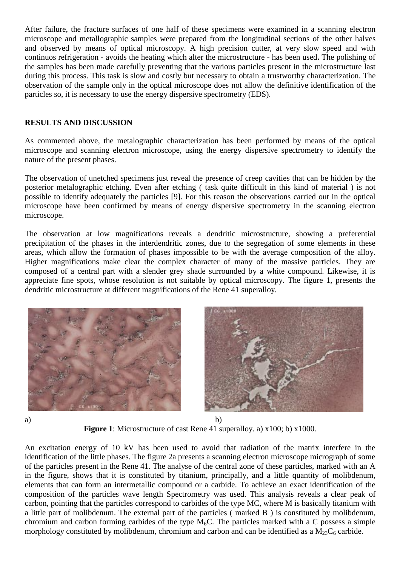After failure, the fracture surfaces of one half of these specimens were examined in a scanning electron microscope and metallographic samples were prepared from the longitudinal sections of the other halves and observed by means of optical microscopy. A high precision cutter, at very slow speed and with continuos refrigeration - avoids the heating which alter the microstructure - has been used**.** The polishing of the samples has been made carefully preventing that the various particles present in the microstructure last during this process. This task is slow and costly but necessary to obtain a trustworthy characterization. The observation of the sample only in the optical microscope does not allow the definitive identification of the particles so, it is necessary to use the energy dispersive spectrometry (EDS).

## **RESULTS AND DISCUSSION**

As commented above, the metalographic characterization has been performed by means of the optical microscope and scanning electron microscope, using the energy dispersive spectrometry to identify the nature of the present phases.

The observation of unetched specimens just reveal the presence of creep cavities that can be hidden by the posterior metalographic etching. Even after etching ( task quite difficult in this kind of material ) is not possible to identify adequately the particles [9]. For this reason the observations carried out in the optical microscope have been confirmed by means of energy dispersive spectrometry in the scanning electron microscope.

The observation at low magnifications reveals a dendritic microstructure, showing a preferential precipitation of the phases in the interdendritic zones, due to the segregation of some elements in these areas, which allow the formation of phases impossible to be with the average composition of the alloy. Higher magnifications make clear the complex character of many of the massive particles. They are composed of a central part with a slender grey shade surrounded by a white compound. Likewise, it is appreciate fine spots, whose resolution is not suitable by optical microscopy. The figure 1, presents the dendritic microstructure at different magnifications of the Rene 41 superalloy.





a) b)



An excitation energy of 10 kV has been used to avoid that radiation of the matrix interfere in the identification of the little phases. The figure 2a presents a scanning electron microscope micrograph of some of the particles present in the Rene 41. The analyse of the central zone of these particles, marked with an A in the figure, shows that it is constituted by titanium, principally, and a little quantity of molibdenum, elements that can form an intermetallic compound or a carbide. To achieve an exact identification of the composition of the particles wave length Spectrometry was used. This analysis reveals a clear peak of carbon, pointing that the particles correspond to carbides of the type MC, where M is basically titanium with a little part of molibdenum. The external part of the particles ( marked B ) is constituted by molibdenum, chromium and carbon forming carbides of the type  $M_6C$ . The particles marked with a C possess a simple morphology constituted by molibdenum, chromium and carbon and can be identified as a  $M_{23}C_6$  carbide.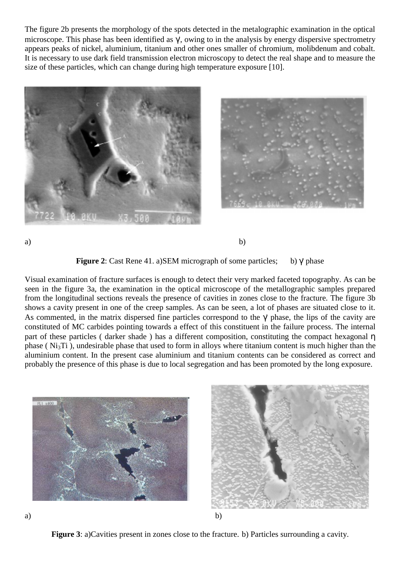The figure 2b presents the morphology of the spots detected in the metalographic examination in the optical microscope. This phase has been identified as γ', owing to in the analysis by energy dispersive spectrometry appears peaks of nickel, aluminium, titanium and other ones smaller of chromium, molibdenum and cobalt. It is necessary to use dark field transmission electron microscopy to detect the real shape and to measure the size of these particles, which can change during high temperature exposure [10].





a) b)

**Figure 2**: Cast Rene 41. a)SEM micrograph of some particles; b) γ' phase

Visual examination of fracture surfaces is enough to detect their very marked faceted topography. As can be seen in the figure 3a, the examination in the optical microscope of the metallographic samples prepared from the longitudinal sections reveals the presence of cavities in zones close to the fracture. The figure 3b shows a cavity present in one of the creep samples. As can be seen, a lot of phases are situated close to it. As commented, in the matrix dispersed fine particles correspond to the  $\gamma$  phase, the lips of the cavity are constituted of MC carbides pointing towards a effect of this constituent in the failure process. The internal part of these particles ( darker shade ) has a different composition, constituting the compact hexagonal η phase ( $Ni<sub>3</sub>Ti$ ), undesirable phase that used to form in alloys where titanium content is much higher than the aluminium content. In the present case aluminium and titanium contents can be considered as correct and probably the presence of this phase is due to local segregation and has been promoted by the long exposure.



**Figure 3**: a)Cavities present in zones close to the fracture. b) Particles surrounding a cavity.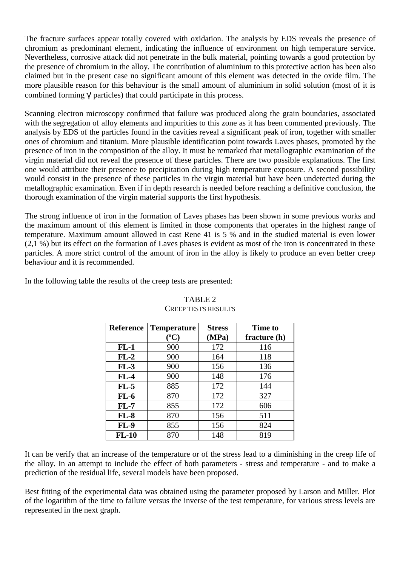The fracture surfaces appear totally covered with oxidation. The analysis by EDS reveals the presence of chromium as predominant element, indicating the influence of environment on high temperature service. Nevertheless, corrosive attack did not penetrate in the bulk material, pointing towards a good protection by the presence of chromium in the alloy. The contribution of aluminium to this protective action has been also claimed but in the present case no significant amount of this element was detected in the oxide film. The more plausible reason for this behaviour is the small amount of aluminium in solid solution (most of it is combined forming γ' particles) that could participate in this process.

Scanning electron microscopy confirmed that failure was produced along the grain boundaries, associated with the segregation of alloy elements and impurities to this zone as it has been commented previously. The analysis by EDS of the particles found in the cavities reveal a significant peak of iron, together with smaller ones of chromium and titanium. More plausible identification point towards Laves phases, promoted by the presence of iron in the composition of the alloy. It must be remarked that metallographic examination of the virgin material did not reveal the presence of these particles. There are two possible explanations. The first one would attribute their presence to precipitation during high temperature exposure. A second possibility would consist in the presence of these particles in the virgin material but have been undetected during the metallographic examination. Even if in depth research is needed before reaching a definitive conclusion, the thorough examination of the virgin material supports the first hypothesis.

The strong influence of iron in the formation of Laves phases has been shown in some previous works and the maximum amount of this element is limited in those components that operates in the highest range of temperature. Maximum amount allowed in cast Rene 41 is 5 % and in the studied material is even lower (2,1 %) but its effect on the formation of Laves phases is evident as most of the iron is concentrated in these particles. A more strict control of the amount of iron in the alloy is likely to produce an even better creep behaviour and it is recommended.

In the following table the results of the creep tests are presented:

| <b>Reference</b> | <b>Temperature</b> | <b>Stress</b> | <b>Time to</b> |
|------------------|--------------------|---------------|----------------|
|                  | $({}^oC)$          | (MPa)         | fracture (h)   |
| $FL-1$           | 900                | 172           | 116            |
| $FL-2$           | 900                | 164           | 118            |
| $FL-3$           | 900                | 156           | 136            |
| $FL-4$           | 900                | 148           | 176            |
| $FL-5$           | 885                | 172           | 144            |
| $FL-6$           | 870                | 172           | 327            |
| $FL-7$           | 855                | 172           | 606            |
| $FL-8$           | 870                | 156           | 511            |
| $FL-9$           | 855                | 156           | 824            |
| $FL-10$          | 870                | 148           | 819            |

# TABLE 2 CREEP TESTS RESULTS

It can be verify that an increase of the temperature or of the stress lead to a diminishing in the creep life of the alloy. In an attempt to include the effect of both parameters - stress and temperature - and to make a prediction of the residual life, several models have been proposed.

Best fitting of the experimental data was obtained using the parameter proposed by Larson and Miller. Plot of the logarithm of the time to failure versus the inverse of the test temperature, for various stress levels are represented in the next graph.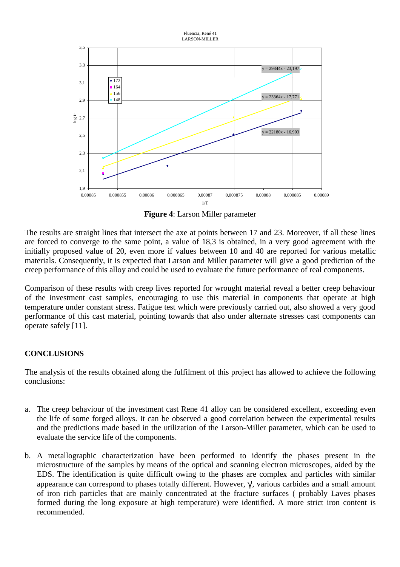

**Figure 4**: Larson Miller parameter

The results are straight lines that intersect the axe at points between 17 and 23. Moreover, if all these lines are forced to converge to the same point, a value of 18,3 is obtained, in a very good agreement with the initially proposed value of 20, even more if values between 10 and 40 are reported for various metallic materials. Consequently, it is expected that Larson and Miller parameter will give a good prediction of the creep performance of this alloy and could be used to evaluate the future performance of real components.

Comparison of these results with creep lives reported for wrought material reveal a better creep behaviour of the investment cast samples, encouraging to use this material in components that operate at high temperature under constant stress. Fatigue test which were previously carried out, also showed a very good performance of this cast material, pointing towards that also under alternate stresses cast components can operate safely [11].

# **CONCLUSIONS**

The analysis of the results obtained along the fulfilment of this project has allowed to achieve the following conclusions:

- a. The creep behaviour of the investment cast Rene 41 alloy can be considered excellent, exceeding even the life of some forged alloys. It can be observed a good correlation between the experimental results and the predictions made based in the utilization of the Larson-Miller parameter, which can be used to evaluate the service life of the components.
- b. A metallographic characterization have been performed to identify the phases present in the microstructure of the samples by means of the optical and scanning electron microscopes, aided by the EDS. The identification is quite difficult owing to the phases are complex and particles with similar appearance can correspond to phases totally different. However, γ', various carbides and a small amount of iron rich particles that are mainly concentrated at the fracture surfaces ( probably Laves phases formed during the long exposure at high temperature) were identified. A more strict iron content is recommended.